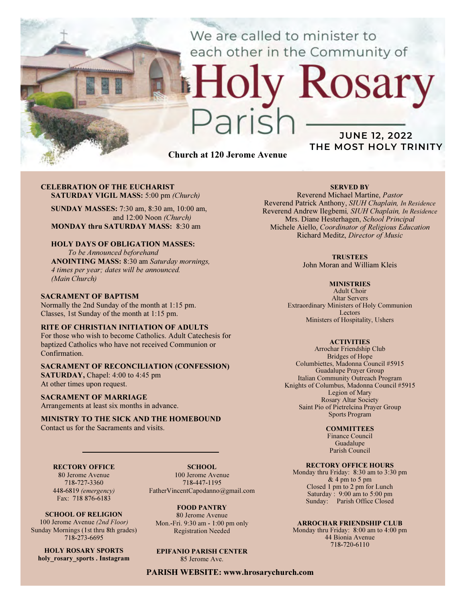We are called to minister to each other in the Community of

# CELEBRATION OF THE EUCHARIST

SATURDAY VIGIL MASS: 5:00 pm (Church)

SUNDAY MASSES: 7:30 am, 8:30 am, 10:00 am, and 12:00 Noon (Church) MONDAY thru SATURDAY MASS: 8:30 am

## HOLY DAYS OF OBLIGATION MASSES:

To be Announced beforehand ANOINTING MASS: 8:30 am Saturday mornings, 4 times per year; dates will be announced. (Main Church)

### SACRAMENT OF BAPTISM

Normally the 2nd Sunday of the month at 1:15 pm. Classes, 1st Sunday of the month at 1:15 pm.

## RITE OF CHRISTIAN INITIATION OF ADULTS

For those who wish to become Catholics. Adult Catechesis for baptized Catholics who have not received Communion or Confirmation.

## SACRAMENT OF RECONCILIATION (CONFESSION)

SATURDAY, Chapel: 4:00 to 4:45 pm At other times upon request.

#### SACRAMENT OF MARRIAGE

Arrangements at least six months in advance.

### MINISTRY TO THE SICK AND THE HOMEBOUND Contact us for the Sacraments and visits.

## RECTORY OFFICE

80 Jerome Avenue 718-727-3360 448-6819 (emergency) Fax: 718 876-6183

SCHOOL OF RELIGION 100 Jerome Avenue (2nd Floor) Sunday Mornings (1st thru 8th grades) 718-273-6695

HOLY ROSARY SPORTS holy rosary sports . Instagram

SCHOOL. 100 Jerome Avenue 718-447-1195 FatherVincentCapodanno@gmail.com

FOOD PANTRY 80 Jerome Avenue Mon.-Fri. 9:30 am - 1:00 pm only Registration Needed

EPIFANIO PARISH CENTER 85 Jerome Ave.

PARISH WEBSITE: www.hrosarychurch.com

Church at 120 Jerome Avenue

## SERVED BY

JUNE 12, 2022 THE MOST HOLY TRINITY

osary

Reverend Michael Martine, Pastor Reverend Patrick Anthony, SIUH Chaplain, In Residence Reverend Andrew Ilegbemi, SIUH Chaplain, In Residence Mrs. Diane Hesterhagen, School Principal Michele Aiello, Coordinator of Religious Education Richard Meditz, Director of Music

### **TRUSTEES**

John Moran and William Kleis

#### **MINISTRIES**

Adult Choir Altar Servers Extraordinary Ministers of Holy Communion Lectors Ministers of Hospitality, Ushers

#### **ACTIVITIES**

Arrochar Friendship Club Bridges of Hope Columbiettes, Madonna Council #5915 Guadalupe Prayer Group Italian Community Outreach Program Knights of Columbus, Madonna Council #5915 Legion of Mary Rosary Altar Society Saint Pio of Pietrelcina Prayer Group Sports Program

#### **COMMITTEES**

Finance Council Guadalupe Parish Council

## RECTORY OFFICE HOURS

Monday thru Friday: 8:30 am to 3:30 pm & 4 pm to 5 pm Closed 1 pm to 2 pm for Lunch Saturday:  $9:00 \text{ am to } 5:00 \text{ pm}$ Sunday: Parish Office Closed

#### ARROCHAR FRIENDSHIP CLUB

Monday thru Friday: 8:00 am to 4:00 pm 44 Bionia Avenue 718-720-6110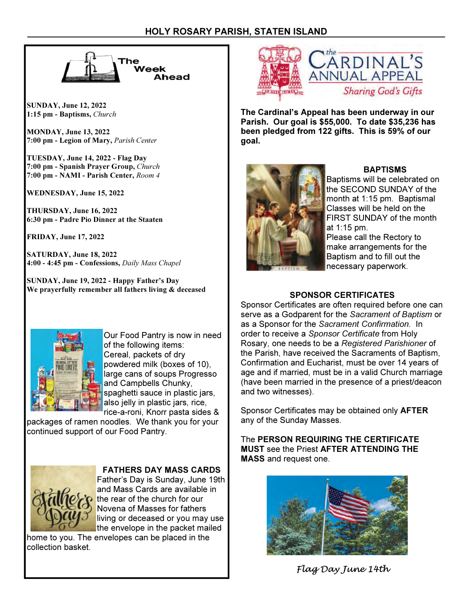

SUNDAY, June 12, 2022 1:15 pm - Baptisms, Church

MONDAY, June 13, 2022 7:00 pm - Legion of Mary, Parish Center

TUESDAY, June 14, 2022 - Flag Day 7:00 pm - Spanish Prayer Group, Church 7:00 pm - NAMI - Parish Center, Room 4

WEDNESDAY, June 15, 2022

THURSDAY, June 16, 2022 6:30 pm - Padre Pio Dinner at the Staaten

FRIDAY, June 17, 2022

SATURDAY, June 18, 2022 4:00 - 4:45 pm - Confessions, Daily Mass Chapel

SUNDAY, June 19, 2022 - Happy Father's Day We prayerfully remember all fathers living & deceased



Our Food Pantry is now in need of the following items: Cereal, packets of dry powdered milk (boxes of 10), large cans of soups Progresso and Campbells Chunky, spaghetti sauce in plastic jars, also jelly in plastic jars, rice, rice-a-roni, Knorr pasta sides &

packages of ramen noodles. We thank you for your continued support of our Food Pantry.



FATHERS DAY MASS CARDS Father's Day is Sunday, June 19th and Mass Cards are available in the rear of the church for our Novena of Masses for fathers

living or deceased or you may use the envelope in the packet mailed

home to you. The envelopes can be placed in the collection basket.



The Cardinal's Appeal has been underway in our Parish. Our goal is \$55,000. To date \$35,236 has been pledged from 122 gifts. This is 59% of our goal.



## BAPTISMS

Baptisms will be celebrated on the SECOND SUNDAY of the month at 1:15 pm. Baptismal Classes will be held on the FIRST SUNDAY of the month at 1:15 pm.

Please call the Rectory to make arrangements for the Baptism and to fill out the necessary paperwork.

# SPONSOR CERTIFICATES

Sponsor Certificates are often required before one can serve as a Godparent for the Sacrament of Baptism or as a Sponsor for the Sacrament Confirmation. In order to receive a Sponsor Certificate from Holy Rosary, one needs to be a Registered Parishioner of the Parish, have received the Sacraments of Baptism, Confirmation and Eucharist, must be over 14 years of age and if married, must be in a valid Church marriage (have been married in the presence of a priest/deacon and two witnesses).

Sponsor Certificates may be obtained only AFTER any of the Sunday Masses.

The PERSON REQUIRING THE CERTIFICATE MUST see the Priest AFTER ATTENDING THE MASS and request one.



Flag Day June 14th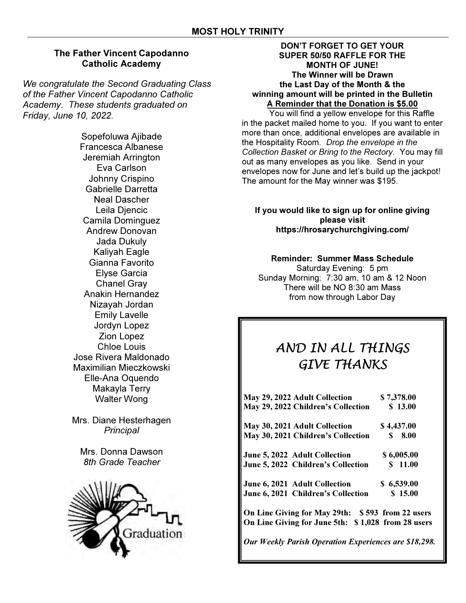# The Father Vincent Capodanno Catholic Academy

We congratulate the Second Graduating Class of the Father Vincent Capodanno Catholic Academy. These students graduated on Friday, June 10, 2022.

> Sopefoluwa Ajibade Francesca Albanese Jeremiah Arrington Eva Carlson Johnny Crispino Gabrielle Darretta Neal Dascher Leila Djencic Camila Dominguez Andrew Donovan Jada Dukuly Kaliyah Eagle Gianna Favorito Elyse Garcia Chanel Gray Anakin Hernandez Nizayah Jordan Emily Lavelle Jordyn Lopez Zion Lopez Chloe Louis Jose Rivera Maldonado Maximilian Mieczkowski Elle-Ana Oquendo Makayla Terry Walter Wong

Mrs. Diane Hesterhagen **Principal** 

Mrs. Donna Dawson 8th Grade Teacher



## DON'T FORGET TO GET YOUR SUPER 50/50 RAFFLE FOR THE MONTH OF JUNE! The Winner will be Drawn the Last Day of the Month & the winning amount will be printed in the Bulletin A Reminder that the Donation is \$5.00

 You will find a yellow envelope for this Raffle in the packet mailed home to you. If you want to enter more than once, additional envelopes are available in the Hospitality Room. Drop the envelope in the Collection Basket or Bring to the Rectory. You may fill out as many envelopes as you like. Send in your envelopes now for June and let's build up the jackpot! The amount for the May winner was \$195.

## If you would like to sign up for online giving please visit https://hrosarychurchgiving.com/

# Reminder: Summer Mass Schedule

Saturday Evening: 5 pm Sunday Morning: 7:30 am, 10 am & 12 Noon There will be NO 8:30 am Mass from now through Labor Day

# AND IN ALL THINGS GIVE THANKS

| May 29, 2022 Adult Collection                      | \$7,378.00 |
|----------------------------------------------------|------------|
| May 29, 2022 Children's Collection                 | \$13.00    |
| May 30, 2021 Adult Collection                      | \$4,437.00 |
| May 30, 2021 Children's Collection                 | 8.00<br>S. |
| June 5, 2022 Adult Collection                      | \$6,005.00 |
| June 5, 2022 Children's Collection                 | \$11.00    |
| June 6, 2021 Adult Collection                      | \$6,539.00 |
| June 6, 2021 Children's Collection                 | \$15.00    |
| On Line Giving for May 29th: \$593 from 22 users   |            |
| On Line Giving for June 5th: \$1.028 from 28 users |            |

Our Weekly Parish Operation Experiences are \$18,298.